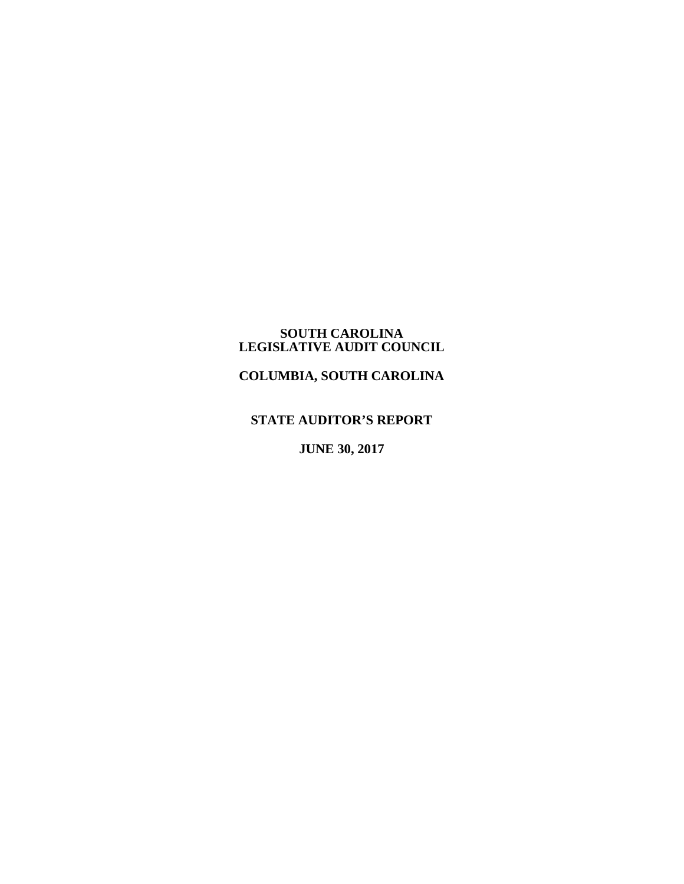### **SOUTH CAROLINA LEGISLATIVE AUDIT COUNCIL**

**COLUMBIA, SOUTH CAROLINA**

**STATE AUDITOR'S REPORT**

**JUNE 30, 2017**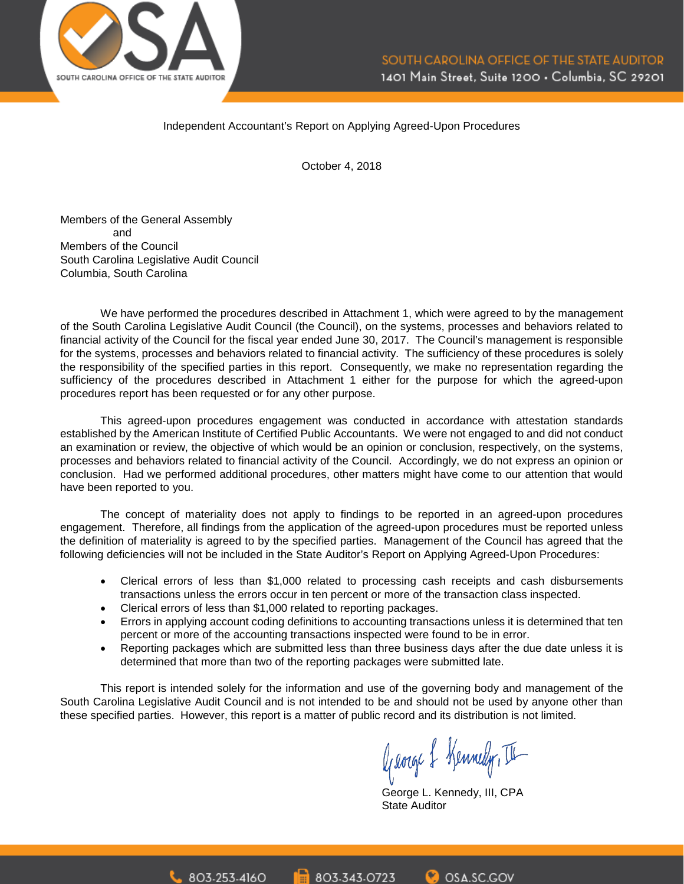

#### Independent Accountant's Report on Applying Agreed-Upon Procedures

October 4, 2018

Members of the General Assembly and Members of the Council South Carolina Legislative Audit Council Columbia, South Carolina

We have performed the procedures described in Attachment 1, which were agreed to by the management of the South Carolina Legislative Audit Council (the Council), on the systems, processes and behaviors related to financial activity of the Council for the fiscal year ended June 30, 2017. The Council's management is responsible for the systems, processes and behaviors related to financial activity. The sufficiency of these procedures is solely the responsibility of the specified parties in this report. Consequently, we make no representation regarding the sufficiency of the procedures described in Attachment 1 either for the purpose for which the agreed-upon procedures report has been requested or for any other purpose.

This agreed-upon procedures engagement was conducted in accordance with attestation standards established by the American Institute of Certified Public Accountants. We were not engaged to and did not conduct an examination or review, the objective of which would be an opinion or conclusion, respectively, on the systems, processes and behaviors related to financial activity of the Council. Accordingly, we do not express an opinion or conclusion. Had we performed additional procedures, other matters might have come to our attention that would have been reported to you.

The concept of materiality does not apply to findings to be reported in an agreed-upon procedures engagement. Therefore, all findings from the application of the agreed-upon procedures must be reported unless the definition of materiality is agreed to by the specified parties. Management of the Council has agreed that the following deficiencies will not be included in the State Auditor's Report on Applying Agreed-Upon Procedures:

- Clerical errors of less than \$1,000 related to processing cash receipts and cash disbursements transactions unless the errors occur in ten percent or more of the transaction class inspected.
- Clerical errors of less than \$1,000 related to reporting packages.
- Errors in applying account coding definitions to accounting transactions unless it is determined that ten percent or more of the accounting transactions inspected were found to be in error.
- Reporting packages which are submitted less than three business days after the due date unless it is determined that more than two of the reporting packages were submitted late.

This report is intended solely for the information and use of the governing body and management of the South Carolina Legislative Audit Council and is not intended to be and should not be used by anyone other than these specified parties. However, this report is a matter of public record and its distribution is not limited.

George & Kennedy, II

George L. Kennedy, III, CPA State Auditor

**O** OSA.SC.GOV 803-343-0723 803-253-4160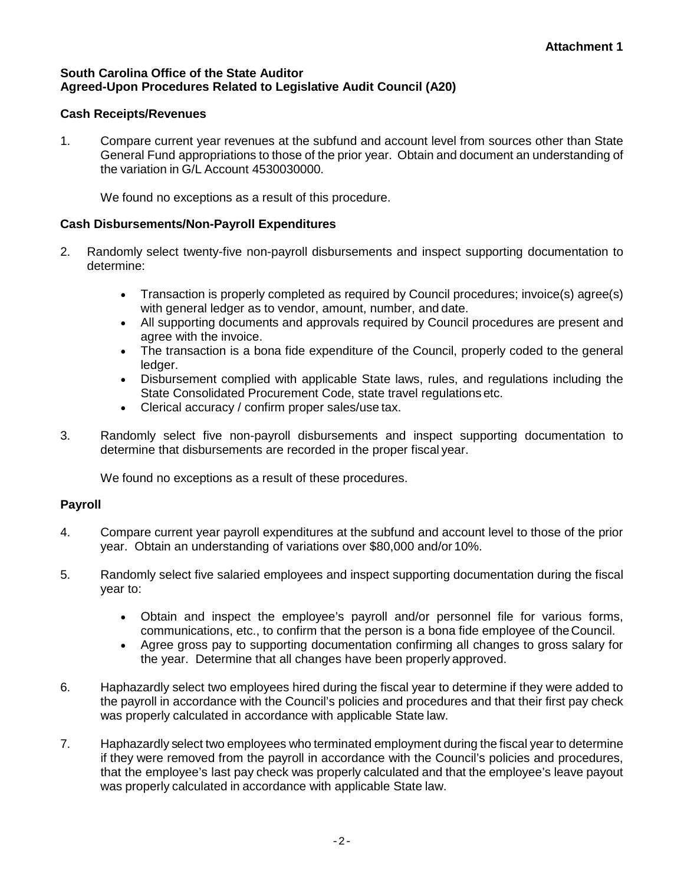## **South Carolina Office of the State Auditor Agreed-Upon Procedures Related to Legislative Audit Council (A20)**

## **Cash Receipts/Revenues**

1. Compare current year revenues at the subfund and account level from sources other than State General Fund appropriations to those of the prior year. Obtain and document an understanding of the variation in G/L Account 4530030000.

We found no exceptions as a result of this procedure.

## **Cash Disbursements/Non-Payroll Expenditures**

- 2. Randomly select twenty-five non-payroll disbursements and inspect supporting documentation to determine:
	- Transaction is properly completed as required by Council procedures; invoice(s) agree(s) with general ledger as to vendor, amount, number, and date.
	- All supporting documents and approvals required by Council procedures are present and agree with the invoice.
	- The transaction is a bona fide expenditure of the Council, properly coded to the general ledger.
	- Disbursement complied with applicable State laws, rules, and regulations including the State Consolidated Procurement Code, state travel regulations etc.
	- Clerical accuracy / confirm proper sales/use tax.
- 3. Randomly select five non-payroll disbursements and inspect supporting documentation to determine that disbursements are recorded in the proper fiscal year.

We found no exceptions as a result of these procedures.

## **Payroll**

- 4. Compare current year payroll expenditures at the subfund and account level to those of the prior year. Obtain an understanding of variations over \$80,000 and/or 10%.
- 5. Randomly select five salaried employees and inspect supporting documentation during the fiscal year to:
	- Obtain and inspect the employee's payroll and/or personnel file for various forms, communications, etc., to confirm that the person is a bona fide employee of theCouncil.
	- Agree gross pay to supporting documentation confirming all changes to gross salary for the year. Determine that all changes have been properly approved.
- 6. Haphazardly select two employees hired during the fiscal year to determine if they were added to the payroll in accordance with the Council's policies and procedures and that their first pay check was properly calculated in accordance with applicable State law.
- 7. Haphazardly select two employees who terminated employment during the fiscal year to determine if they were removed from the payroll in accordance with the Council's policies and procedures, that the employee's last pay check was properly calculated and that the employee's leave payout was properly calculated in accordance with applicable State law.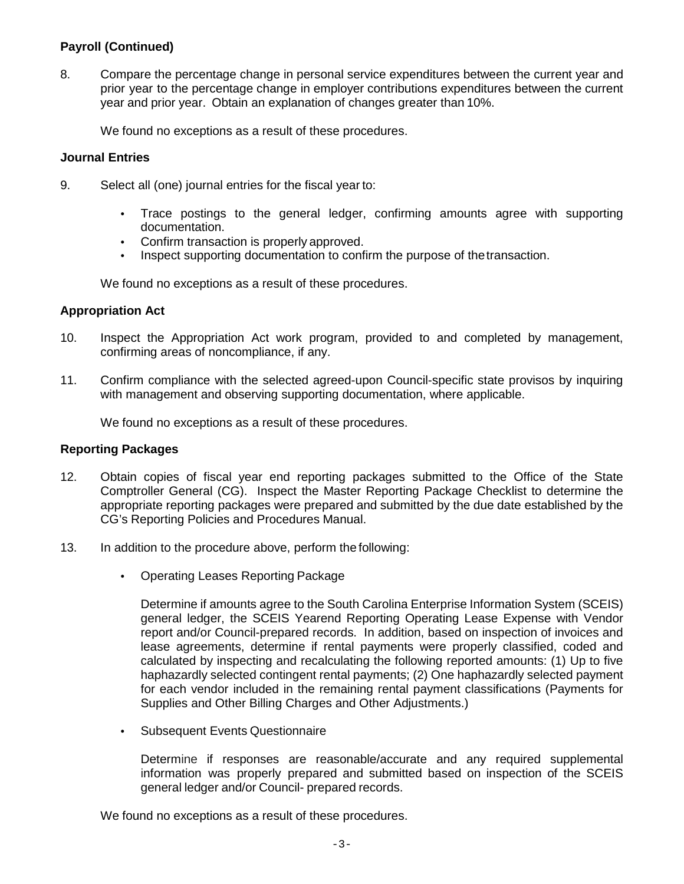## **Payroll (Continued)**

8. Compare the percentage change in personal service expenditures between the current year and prior year to the percentage change in employer contributions expenditures between the current year and prior year. Obtain an explanation of changes greater than 10%.

We found no exceptions as a result of these procedures.

### **Journal Entries**

- 9. Select all (one) journal entries for the fiscal year to:
	- Trace postings to the general ledger, confirming amounts agree with supporting documentation.
	- Confirm transaction is properly approved.
	- Inspect supporting documentation to confirm the purpose of the transaction.

We found no exceptions as a result of these procedures.

## **Appropriation Act**

- 10. Inspect the Appropriation Act work program, provided to and completed by management, confirming areas of noncompliance, if any.
- 11. Confirm compliance with the selected agreed-upon Council-specific state provisos by inquiring with management and observing supporting documentation, where applicable.

We found no exceptions as a result of these procedures.

#### **Reporting Packages**

- 12. Obtain copies of fiscal year end reporting packages submitted to the Office of the State Comptroller General (CG). Inspect the Master Reporting Package Checklist to determine the appropriate reporting packages were prepared and submitted by the due date established by the CG's Reporting Policies and Procedures Manual.
- 13. In addition to the procedure above, perform the following:
	- Operating Leases Reporting Package

Determine if amounts agree to the South Carolina Enterprise Information System (SCEIS) general ledger, the SCEIS Yearend Reporting Operating Lease Expense with Vendor report and/or Council-prepared records. In addition, based on inspection of invoices and lease agreements, determine if rental payments were properly classified, coded and calculated by inspecting and recalculating the following reported amounts: (1) Up to five haphazardly selected contingent rental payments; (2) One haphazardly selected payment for each vendor included in the remaining rental payment classifications (Payments for Supplies and Other Billing Charges and Other Adjustments.)

• Subsequent Events Questionnaire

Determine if responses are reasonable/accurate and any required supplemental information was properly prepared and submitted based on inspection of the SCEIS general ledger and/or Council- prepared records.

We found no exceptions as a result of these procedures.